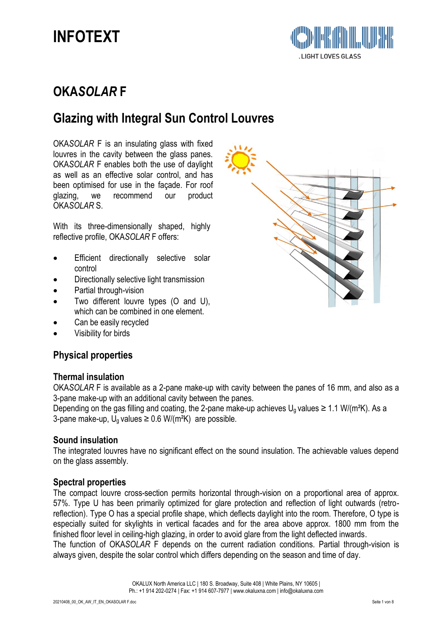

## **OKA***SOLAR* **F**

## **Glazing with Integral Sun Control Louvres**

OKA*SOLAR* F is an insulating glass with fixed louvres in the cavity between the glass panes. OKA*SOLAR* F enables both the use of daylight as well as an effective solar control, and has been optimised for use in the façade. For roof glazing, we recommend our product OKA*SOLAR* S.

With its three-dimensionally shaped, highly reflective profile, OKA*SOLAR* F offers:

- Efficient directionally selective solar control
- Directionally selective light transmission
- Partial through-vision
- Two different louvre types (O and U), which can be combined in one element.
- Can be easily recycled
- Visibility for birds

### **Physical properties**

#### **Thermal insulation**

OKA*SOLAR* F is available as a 2-pane make-up with cavity between the panes of 16 mm, and also as a 3-pane make-up with an additional cavity between the panes.

Depending on the gas filling and coating, the 2-pane make-up achieves  $U_0$  values  $\geq 1.1$  W/(m<sup>2</sup>K). As a 3-pane make-up,  $U_q$  values  $\geq$  0.6 W/(m<sup>2</sup>K) are possible.

### **Sound insulation**

The integrated louvres have no significant effect on the sound insulation. The achievable values depend on the glass assembly.

### **Spectral properties**

The compact louvre cross-section permits horizontal through-vision on a proportional area of approx. 57%. Type U has been primarily optimized for glare protection and reflection of light outwards (retroreflection). Type O has a special profile shape, which deflects daylight into the room. Therefore, O type is especially suited for skylights in vertical facades and for the area above approx. 1800 mm from the finished floor level in ceiling-high glazing, in order to avoid glare from the light deflected inwards.

The function of OKA*SOLAR* F depends on the current radiation conditions. Partial through-vision is always given, despite the solar control which differs depending on the season and time of day.

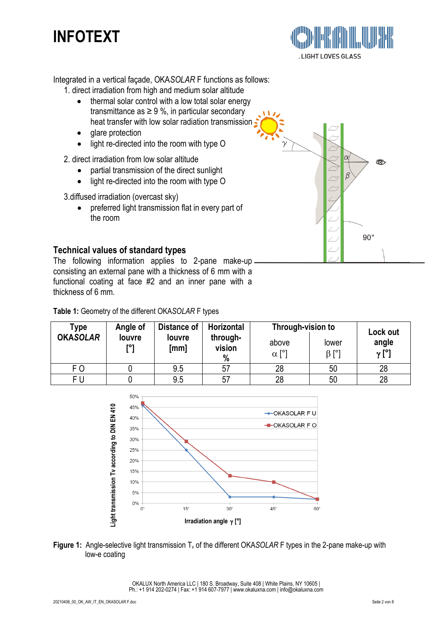

 $\alpha$ 

₩

 $90^\circ$ 

Integrated in a vertical façade, OKA*SOLAR* F functions as follows:

1. direct irradiation from high and medium solar altitude

- thermal solar control with a low total solar energy transmittance as  $\geq 9$  %, in particular secondary heat transfer with low solar radiation transmission
- alare protection
- light re-directed into the room with type O
- 2. direct irradiation from low solar altitude
	- partial transmission of the direct sunlight
	- light re-directed into the room with type O
- 3.diffused irradiation (overcast sky)
	- preferred light transmission flat in every part of the room

#### **Technical values of standard types**

The following information applies to 2-pane make-up consisting an external pane with a thickness of 6 mm with a functional coating at face #2 and an inner pane with a thickness of 6 mm.

**Table 1:** Geometry of the different OKA*SOLAR* F types

| Type            | Angle of      | Distance of    | Horizontal              | Through-vision to     | Lock out             |                       |
|-----------------|---------------|----------------|-------------------------|-----------------------|----------------------|-----------------------|
| <b>OKASOLAR</b> | louvre<br>r°1 | louvre<br>[mm] | through-<br>vision<br>% | above<br>$\alpha$ [°] | lower<br>$\beta$ [°] | angle<br>$\gamma$ [°] |
| F O             |               | 9.5            | 57                      | 28                    | 50                   | 28                    |
|                 |               | 9.5            | 57                      | 28                    | 50                   | 28                    |





OKALUX North America LLC | 180 S. Broadway, Suite 408 | White Plains, NY 10605 | Ph.: +1 914 202-0274 | Fax: +1 914 607-7977 | www.okaluxna.com | info@okaluxna.com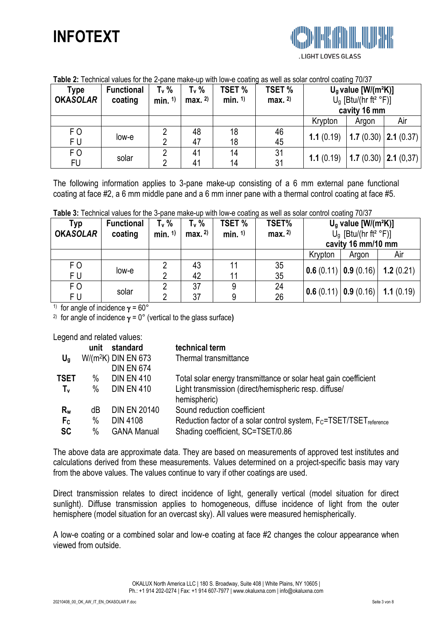

|  | Table 2: Technical values for the 2-pane make-up with low-e coating as well as solar control coating 70/37 |
|--|------------------------------------------------------------------------------------------------------------|
|  |                                                                                                            |

| Type            | <b>Functional</b> | T <sub>v</sub> % | T <sub>v</sub> % | TSET %  | TSET%     | $U_q$ value [W/(m <sup>2</sup> K)] |       |                                |
|-----------------|-------------------|------------------|------------------|---------|-----------|------------------------------------|-------|--------------------------------|
| <b>OKASOLAR</b> | coating           | min. $1$ )       | max. $2)$        | min. 1) | max. $2)$ | $Ug$ [Btu/(hr ft <sup>2</sup> °F)] |       |                                |
|                 |                   |                  |                  |         |           | cavity 16 mm                       |       |                                |
|                 |                   |                  |                  |         |           | Krypton                            | Argon | Air                            |
| F <sub>O</sub>  |                   |                  | 48               | 18      | 46        | 1.1(0.19)                          |       | $\mid$ 1.7 (0.30)   2.1 (0.37) |
| F U             | low-e             |                  | 47               | 18      | 45        |                                    |       |                                |
| F <sub>O</sub>  |                   |                  | 41               | 14      | 31        |                                    |       |                                |
| FU              | solar             |                  | 41               | 14      | 31        | 1.1(0.19)                          |       | $\mid$ 1.7 (0.30)   2.1 (0,37) |

The following information applies to 3-pane make-up consisting of a 6 mm external pane functional coating at face #2, a 6 mm middle pane and a 6 mm inner pane with a thermal control coating at face #5.

| <b>Typ</b>      | <b>Functional</b> | T <sub>v</sub> % | T <sub>v</sub> % | <b>TSET %</b> | TSET%     | $Ug$ value [W/(m <sup>2</sup> K)]  |                                |           |
|-----------------|-------------------|------------------|------------------|---------------|-----------|------------------------------------|--------------------------------|-----------|
| <b>OKASOLAR</b> | coating           | min. $1$ )       | max. 2)          | min. $1$ )    | max. $2)$ | $Ug$ [Btu/(hr ft <sup>2</sup> °F)] |                                |           |
|                 |                   |                  |                  |               |           | cavity 16 mm/10 mm                 |                                |           |
|                 |                   |                  |                  |               |           | Krypton                            | Argon                          | Air       |
| F <sub>O</sub>  |                   |                  | 43               |               | 35        |                                    | $0.6(0.11)$ 0.9 (0.16)         | 1.2(0.21) |
| FU              | low-e             |                  | 42               |               | 35        |                                    |                                |           |
| F <sub>O</sub>  |                   |                  | 37               |               | 24        |                                    | $\mid$ 0.6 (0.11)   0.9 (0.16) | 1.1(0.19) |
| FU              | solar             |                  | 37               |               | 26        |                                    |                                |           |

<sup>1)</sup> for angle of incidence  $\gamma = 60^\circ$ 

<sup>2)</sup> for angle of incidence  $\gamma = 0^{\circ}$  (vertical to the glass surface)

Legend and related values:

|                | unit | standard              | technical term                                                                             |
|----------------|------|-----------------------|--------------------------------------------------------------------------------------------|
| $U_q$          |      | $W/(m^2K)$ DIN EN 673 | Thermal transmittance                                                                      |
|                |      | <b>DIN EN 674</b>     |                                                                                            |
| <b>TSET</b>    | $\%$ | <b>DIN EN 410</b>     | Total solar energy transmittance or solar heat gain coefficient                            |
| $T_{\rm v}$    | %    | <b>DIN EN 410</b>     | Light transmission (direct/hemispheric resp. diffuse/                                      |
|                |      |                       | hemispheric)                                                                               |
| $R_{w}$        | dB   | <b>DIN EN 20140</b>   | Sound reduction coefficient                                                                |
| F <sub>c</sub> | $\%$ | <b>DIN 4108</b>       | Reduction factor of a solar control system, F <sub>C</sub> =TSET/TSET <sub>reference</sub> |
| <b>SC</b>      | $\%$ | <b>GANA Manual</b>    | Shading coefficient, SC=TSET/0.86                                                          |

The above data are approximate data. They are based on measurements of approved test institutes and calculations derived from these measurements. Values determined on a project-specific basis may vary from the above values. The values continue to vary if other coatings are used.

Direct transmission relates to direct incidence of light, generally vertical (model situation for direct sunlight). Diffuse transmission applies to homogeneous, diffuse incidence of light from the outer hemisphere (model situation for an overcast sky). All values were measured hemispherically.

A low-e coating or a combined solar and low-e coating at face #2 changes the colour appearance when viewed from outside.

> OKALUX North America LLC | 180 S. Broadway, Suite 408 | White Plains, NY 10605 | Ph.: +1 914 202-0274 | Fax: +1 914 607-7977 | www.okaluxna.com | info@okaluxna.com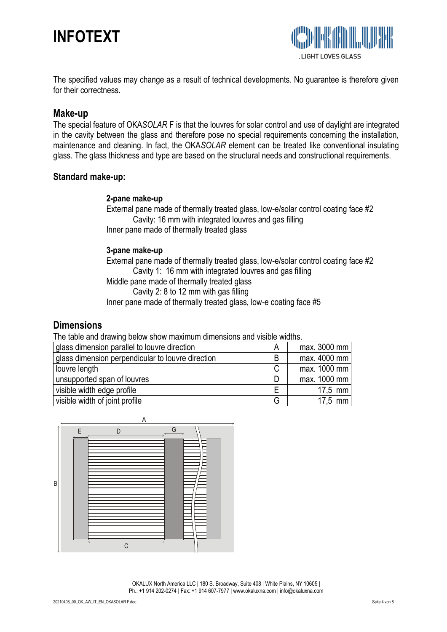

The specified values may change as a result of technical developments. No guarantee is therefore given for their correctness.

#### **Make-up**

The special feature of OKA*SOLAR* F is that the louvres for solar control and use of daylight are integrated in the cavity between the glass and therefore pose no special requirements concerning the installation, maintenance and cleaning. In fact, the OKA*SOLAR* element can be treated like conventional insulating glass. The glass thickness and type are based on the structural needs and constructional requirements.

#### **Standard make-up:**

#### **2-pane make-up**

External pane made of thermally treated glass, low-e/solar control coating face #2 Cavity: 16 mm with integrated louvres and gas filling Inner pane made of thermally treated glass

#### **3-pane make-up**

External pane made of thermally treated glass, low-e/solar control coating face #2 Cavity 1: 16 mm with integrated louvres and gas filling Middle pane made of thermally treated glass Cavity 2: 8 to 12 mm with gas filling Inner pane made of thermally treated glass, low-e coating face #5

### **Dimensions**

The table and drawing below show maximum dimensions and visible widths.

| glass dimension parallel to louvre direction      | A | max. 3000 mm |
|---------------------------------------------------|---|--------------|
| glass dimension perpendicular to louvre direction | B | max. 4000 mm |
| louvre length                                     | C | max. 1000 mm |
| unsupported span of louvres                       |   | max. 1000 mm |
| visible width edge profile                        | F | 17,5 mm      |
| visible width of joint profile                    | G | 17,5 mm      |



OKALUX North America LLC | 180 S. Broadway, Suite 408 | White Plains, NY 10605 | Ph.: +1 914 202-0274 | Fax: +1 914 607-7977 | www.okaluxna.com | info@okaluxna.com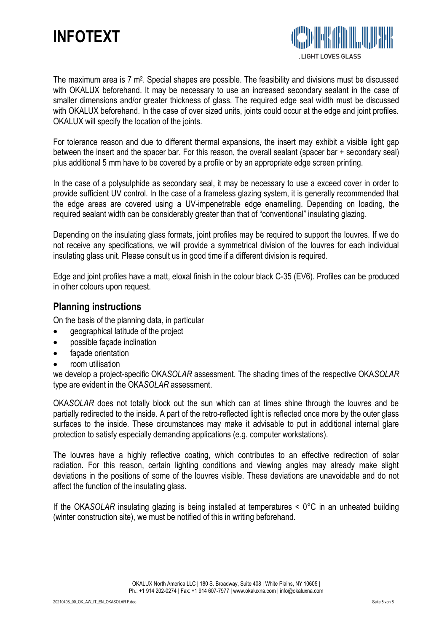

The maximum area is 7 m<sup>2</sup>. Special shapes are possible. The feasibility and divisions must be discussed with OKALUX beforehand. It may be necessary to use an increased secondary sealant in the case of smaller dimensions and/or greater thickness of glass. The required edge seal width must be discussed with OKALUX beforehand. In the case of over sized units, joints could occur at the edge and joint profiles. OKALUX will specify the location of the joints.

For tolerance reason and due to different thermal expansions, the insert may exhibit a visible light gap between the insert and the spacer bar. For this reason, the overall sealant (spacer bar + secondary seal) plus additional 5 mm have to be covered by a profile or by an appropriate edge screen printing.

In the case of a polysulphide as secondary seal, it may be necessary to use a exceed cover in order to provide sufficient UV control. In the case of a frameless glazing system, it is generally recommended that the edge areas are covered using a UV-impenetrable edge enamelling. Depending on loading, the required sealant width can be considerably greater than that of "conventional" insulating glazing.

Depending on the insulating glass formats, joint profiles may be required to support the louvres. If we do not receive any specifications, we will provide a symmetrical division of the louvres for each individual insulating glass unit. Please consult us in good time if a different division is required.

Edge and joint profiles have a matt, eloxal finish in the colour black C-35 (EV6). Profiles can be produced in other colours upon request.

### **Planning instructions**

On the basis of the planning data, in particular

- geographical latitude of the project
- possible façade inclination
- façade orientation
- room utilisation

we develop a project-specific OKA*SOLAR* assessment. The shading times of the respective OKA*SOLAR*  type are evident in the OKA*SOLAR* assessment.

OKA*SOLAR* does not totally block out the sun which can at times shine through the louvres and be partially redirected to the inside. A part of the retro-reflected light is reflected once more by the outer glass surfaces to the inside. These circumstances may make it advisable to put in additional internal glare protection to satisfy especially demanding applications (e.g. computer workstations).

The louvres have a highly reflective coating, which contributes to an effective redirection of solar radiation. For this reason, certain lighting conditions and viewing angles may already make slight deviations in the positions of some of the louvres visible. These deviations are unavoidable and do not affect the function of the insulating glass.

If the OKA*SOLAR* insulating glazing is being installed at temperatures < 0°C in an unheated building (winter construction site), we must be notified of this in writing beforehand.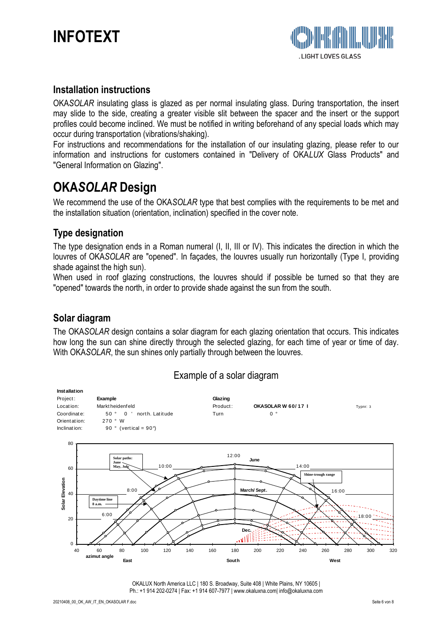

### **Installation instructions**

OKA*SOLAR* insulating glass is glazed as per normal insulating glass. During transportation, the insert may slide to the side, creating a greater visible slit between the spacer and the insert or the support profiles could become inclined. We must be notified in writing beforehand of any special loads which may occur during transportation (vibrations/shaking).

For instructions and recommendations for the installation of our insulating glazing, please refer to our information and instructions for customers contained in "Delivery of OKA*LUX* Glass Products" and "General Information on Glazing".

### **OKA***SOLAR* **Design**

We recommend the use of the OKA*SOLAR* type that best complies with the requirements to be met and the installation situation (orientation, inclination) specified in the cover note.

### **Type designation**

The type designation ends in a Roman numeral (I, II, III or IV). This indicates the direction in which the louvres of OKA*SOLAR* are "opened". In façades, the louvres usually run horizontally (Type I, providing shade against the high sun).

When used in roof glazing constructions, the louvres should if possible be turned so that they are "opened" towards the north, in order to provide shade against the sun from the south.

### **Solar diagram**

The OKA*SOLAR* design contains a solar diagram for each glazing orientation that occurs. This indicates how long the sun can shine directly through the selected glazing, for each time of year or time of day. With OKA*SOLAR*, the sun shines only partially through between the louvres.



### Example of a solar diagram

OKALUX North America LLC | 180 S. Broadway, Suite 408 | White Plains, NY 10605 | Ph.: +1 914 202-0274 | Fax: +1 914 607-7977 | www.okaluxna.com| info@okaluxna.com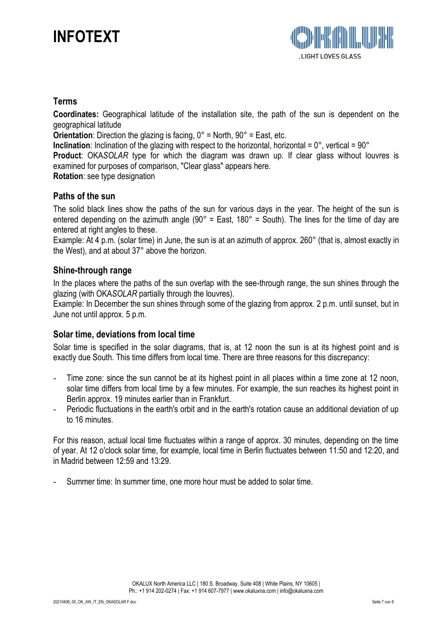### **Terms**

**Coordinates:** Geographical latitude of the installation site, the path of the sun is dependent on the geographical latitude

**Orientation**: Direction the glazing is facing,  $0^{\circ}$  = North,  $90^{\circ}$  = East, etc.

**Inclination**: Inclination of the glazing with respect to the horizontal, horizontal =  $0^\circ$ , vertical =  $90^\circ$ 

**Product**: OKA*SOLAR* type for which the diagram was drawn up. If clear glass without louvres is examined for purposes of comparison, "Clear glass" appears here.

**Rotation**: see type designation

#### **Paths of the sun**

The solid black lines show the paths of the sun for various days in the year. The height of the sun is entered depending on the azimuth angle (90° = East, 180° = South). The lines for the time of day are entered at right angles to these.

Example: At 4 p.m. (solar time) in June, the sun is at an azimuth of approx. 260° (that is, almost exactly in the West), and at about 37° above the horizon.

### **Shine-through range**

In the places where the paths of the sun overlap with the see-through range, the sun shines through the glazing (with OKA*SOLAR* partially through the louvres).

Example: In December the sun shines through some of the glazing from approx. 2 p.m. until sunset, but in June not until approx. 5 p.m.

### **Solar time, deviations from local time**

Solar time is specified in the solar diagrams, that is, at 12 noon the sun is at its highest point and is exactly due South. This time differs from local time. There are three reasons for this discrepancy:

- Time zone: since the sun cannot be at its highest point in all places within a time zone at 12 noon, solar time differs from local time by a few minutes. For example, the sun reaches its highest point in Berlin approx. 19 minutes earlier than in Frankfurt.
- Periodic fluctuations in the earth's orbit and in the earth's rotation cause an additional deviation of up to 16 minutes.

For this reason, actual local time fluctuates within a range of approx. 30 minutes, depending on the time of year. At 12 o'clock solar time, for example, local time in Berlin fluctuates between 11:50 and 12:20, and in Madrid between 12:59 and 13:29.

- Summer time: In summer time, one more hour must be added to solar time.